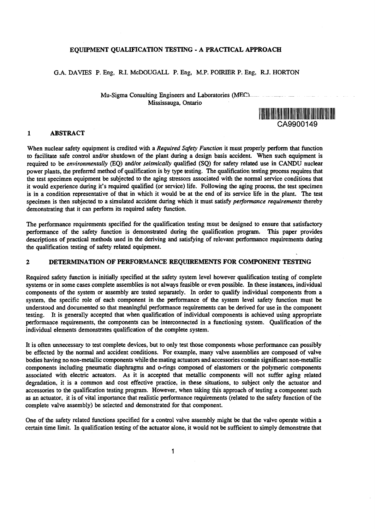#### **EQUIPMENT QUALIFICATION TESTING • A PRACTICAL APPROACH**

# G.A. DAVIES P. Eng, R.I. McDOUGALL P. Eng, M.P. POIRIER P. Eng, RJ. HORTON

Mu-Sigma Consulting Engineers and Laboratories (MECl Mississauga, Ontario



# **1 ABSTRACT**

When nuclear safety equipment is credited with a *Required Safety Function* it must properly perform that function to facilitate safe control and/or shutdown of the plant during a design basis accident. When such equipment is required to be *environmentally* (EQ) and/or *seismically* qualified (SQ) for safety related use in CANDU nuclear power plants, the preferred method of qualification is by type testing. The qualification testing process requires that the test specimen equipment be subjected to the aging stressors associated with the normal service conditions that it would experience during it's required qualified (or service) life. Following the aging process, the test specimen is in a condition representative of that in which it would be at the end of its service life in the plant. The test specimen is then subjected to a simulated accident during which it must satisfy *performance requirements* thereby demonstrating that it can perform its required safety function.

The performance requirements specified for the qualification testing must be designed to ensure that satisfactory performance of the safety function is demonstrated during the qualification program. This paper provides descriptions of practical methods used in the deriving and satisfying of relevant performance requirements during the qualification testing of safety related equipment.

# **2 DETERMINATION OF PERFORMANCE REQUIREMENTS FOR COMPONENT TESTING**

Required safety function is initially specified at the safety system level however qualification testing of complete systems or in some cases complete assemblies is not always feasible or even possible. In these instances, individual components of the system or assembly are tested separately. In order to qualify individual components from a system, the specific role of each component in the performance of the system level safety function must be understood and documented so that meaningful performance requirements can be derived for use in the component testing. It is generally accepted that when qualification of individual components is achieved using appropriate performance requirements, the components can be interconnected in a functioning system. Qualification of the individual elements demonstrates qualification of the complete system.

It is often unnecessary to test complete devices, but to only test those components whose performance can possibly be effected by the normal and accident conditions. For example, many valve assemblies are composed of valve bodies having no non-metallic components while the mating actuators and accessories contain significant non-metallic components including pneumatic diaphragms and o-rings composed of elastomers or the polymeric components associated with electric actuators. As it is accepted that metallic components will not suffer aging related degradation, it is a common and cost effective practice, in these situations, to subject only the actuator and accessories to the qualification testing program. However, when taking this approach of testing a component such as an actuator, it is of vital importance that realistic performance requirements (related to the safety function of the complete valve assembly) be selected and demonstrated for that component.

One of the safety related functions specified for a control valve assembly might be that the valve operate within a certain time limit. In qualification testing of the actuator alone, it would not be sufficient to simply demonstrate that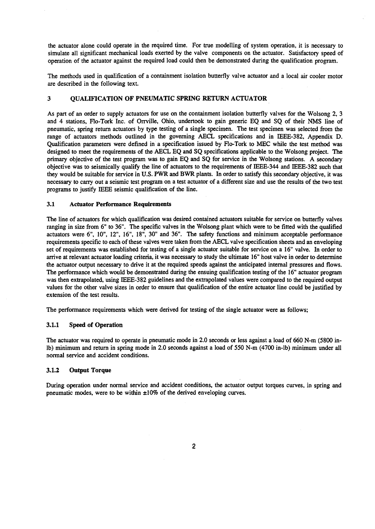the actuator alone could operate in the required time. For true modelling of system operation, it is necessary to simulate all significant mechanical loads exerted by the valve components on the actuator. Satisfactory speed of operation of the actuator against the required load could then be demonstrated during the qualification program.

The methods used in qualification of a containment isolation butterfly valve actuator and a local air cooler motor are described in the following text.

# 3 **QUALIFICATION OF PNEUMATIC SPRING RETURN ACTUATOR**

As part of an order to supply actuators for use on the containment isolation butterfly valves for the Wolsong 2, 3 and 4 stations, Flo-Tork Inc. of Orrville, Ohio, undertook to gain generic EQ and SQ of their NMS line of pneumatic, spring return actuators by type testing of a single specimen. The test specimen was selected from the range of actuators methods outlined in the governing AECL specifications and in IEEE-382, Appendix D. Qualification parameters were defined in a specification issued by Flo-Tork to MEC while the test method was designed to meet the requirements of the AECL EQ and SQ specifications applicable to the Wolsong project. The primary objective of the test program was to gain EQ and SQ for service in the Wolsong stations. A secondary objective was to seismically qualify the line of actuators to the requirements of IEEE-344 and IEEE-382 such that they would be suitable for service in U.S. PWR and BWR plants. In order to satisfy this secondary objective, it was necessary to carry out a seismic test program on a test actuator of a different size and use the results of the two test programs to justify IEEE seismic qualification of the line.

#### 3.1 **Actuator Performance Requirements**

The line of actuators for which qualification was desired contained actuators suitable for service on butterfly valves ranging in size from 6" to 36". The specific valves in the Wolsong plant which were to be fitted with the qualified actuators were 6", 10", 12", 16", 18", 30" and 36". The safety functions and minimum acceptable performance requirements specific to each of these valves were taken from the AECL valve specification sheets and an enveloping set of requirements was established for testing of a single actuator suitable for service on a 16" valve. In order to arrive at relevant actuator loading criteria, it was necessary to study the ultimate 16" host valve in order to determine the actuator output necessary to drive it at the required speeds against the anticipated internal pressures and flows. The performance which would be demonstrated during the ensuing qualification testing of the 16" actuator program was then extrapolated, using IEEE-382 guidelines and the extrapolated values were compared to the required output values for the other valve sizes in order to ensure that qualification of the entire actuator line could be justified by extension of the test results.

The performance requirements which were derived for testing of the single actuator were as follows;

### **3.1.1 Speed of Operation**

The actuator was required to operate in pneumatic mode in 2.0 seconds or less against a load of 660 N-m (5800 inlb) minimum and return in spring mode in 2.0 seconds against a load of 550 N-m (4700 in-lb) minimum under all normal service and accident conditions.

### **3.1.2 Output Torque**

During operation under normal service and accident conditions, the actuator output torques curves, in spring and pneumatic modes, were to be within ±10% of the derived enveloping curves.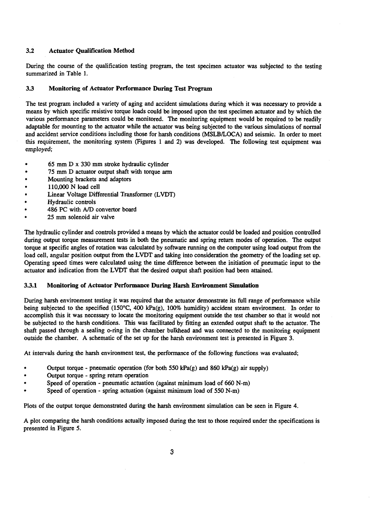# 3.2 **Actuator Qualification Method**

During the course of the qualification testing program, the test specimen actuator was subjected to the testing summarized in Table 1.

### **3.3 Monitoring of Actuator Performance During Test Program**

The test program included a variety of aging and accident simulations during which it was necessary to provide a means by which specific resistive torque loads could be imposed upon the test specimen actuator and by which the various performance parameters could be monitored. The monitoring equipment would be required to be readily adaptable for mounting to the actuator while the actuator was being subjected to the various simulations of normal and accident service conditions including those for harsh conditions (MSLB/LOCA) and seismic. In order to meet this requirement, the monitoring system (Figures 1 and 2) was developed. The following test equipment was employed;

- 65 mm D x 330 mm stroke hydraulic cylinder
- 75 mm D actuator output shaft with torque arm
- Mounting brackets and adaptors
- 110,000 N load cell  $\bullet$
- Linear Voltage Differential Transformer (LVDT)
- Hydraulic controls
- 486 PC with A/D convertor board
- 25 mm solenoid air valve

The hydraulic cylinder and controls provided a means by which the actuator could be loaded and position controlled during output torque measurement tests in both the pneumatic and spring return modes of operation. The output torque at specific angles of rotation was calculated by software running on the computer using load output from the load cell, angular position output from the LVDT and taking into consideration the geometry of the loading set up. Operating speed times were calculated using the time difference between the initiation of pneumatic input to the actuator and indication from the LVDT that the desired output shaft position had been attained.

# **3.3.1 Monitoring of Actuator Performance During Harsh Environment Simulation**

During harsh environment testing it was required that the actuator demonstrate its full range of performance while being subjected to the specified (150°C, 400 kPa(g), 100% humidity) accident steam environment. In order to accomplish this it was necessary to locate the monitoring equipment outside the test chamber so that it would not be subjected to the harsh conditions. This was facilitated by fitting an extended output shaft to the actuator. The shaft passed through a sealing o-ring in the chamber bulkhead and was connected to the monitoring equipment outside the chamber. A schematic of the set up for the harsh environment test is presented in Figure 3.

At intervals during the harsh environment test, the performance of the following functions was evaluated;

- Output torque pneumatic operation (for both 550 kPa(g) and 860 kPa(g) air supply)
- Output torque spring return operation
- Speed of operation pneumatic actuation (against minimum load of 660 N-m)
- Speed of operation spring actuation (against minimum load of 550 N-m)

Plots of the output torque demonstrated during the harsh environment simulation can be seen in Figure 4.

A plot comparing the harsh conditions actually imposed during the test to those required under the specifications is presented in Figure 5.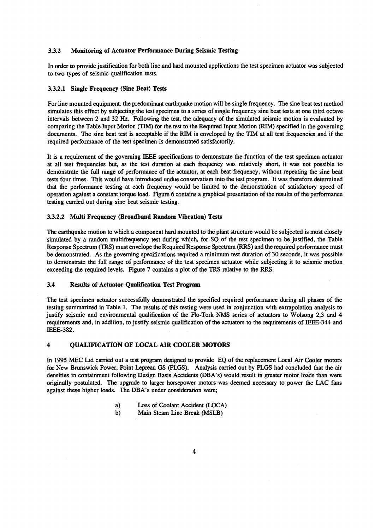# **3.3.2 Monitoring of Actuator Performance During** Seismic Testing

In order to provide justification for both line and hard mounted applications the test specimen actuator was subjected to two types of seismic qualification tests.

#### 3.3.2.1 **Single Frequency (Sine Beat) Tests**

For line mounted equipment, the predominant earthquake motion will be single frequency. The sine beat test method simulates this effect by subjecting the test specimen to a series of single frequency sine beat tests at one third octave intervals between 2 and 32 Hz. Following the test, the adequacy of the simulated seismic motion is evaluated by comparing the Table Input Motion (TIM) for the test to the Required Input Motion (RIM) specified in the governing documents. The sine beat test is acceptable if the RIM is enveloped by the TIM at all test frequencies and if the required performance of the test specimen is demonstrated satisfactorily.

It is a requirement of the governing IEEE specifications to demonstrate the function of the test specimen actuator at all test frequencies but, as the test duration at each frequency was relatively short, it was not possible to demonstrate the full range of performance of the actuator, at each beat frequency, without repeating the sine beat tests four times. This would have introduced undue conservatism into the test program. It was therefore determined that the performance testing at each frequency would be limited to the demonstration of satisfactory speed of operation against a constant torque load. Figure 6 contains a graphical presentation of the results of the performance testing carried out during sine beat seismic testing.

#### 3.3.2.2 **Multi Frequency (Broadband Random Vibration)** Tests

The earthquake motion to which a component hard mounted to the plant structure would be subjected is most closely simulated by a random multifrequency test during which, for SQ of the test specimen to be justified, the Table Response Spectrum (TRS) must envelope the Required Response Spectrum (RRS) and the required performance must be demonstrated. As the governing specifications required a minimum test duration of 30 seconds, it was possible to demonstrate the full range of performance of the test specimen actuator while subjecting it to seismic motion exceeding the required levels. Figure 7 contains a plot of the TRS relative to the RRS.

### **3.4 Results of Actuator Qualification Test Program**

The test specimen actuator successfully demonstrated the specified required performance during all phases of the testing summarized in Table 1. The results of this testing were used in conjunction with extrapolation analysis to justify seismic and environmental qualification of the Flo-Tork NMS series of actuators to Wolsong 2,3 and 4 requirements and, in addition, to justify seismic qualification of the actuators to the requirements of IEEE-344 and IEEE-382.

# **4 QUALIFICATION OF LOCAL AIR COOLER MOTORS**

In 1995 MEC Ltd carried out a test program designed to provide EQ of the replacement Local Air Cooler motors for New Brunswick Power, Point Lepreau GS (PLGS). Analysis carried out by PLGS had concluded that the air densities in containment following Design Basis Accidents (DBA's) would result in greater motor loads than were originally postulated. The upgrade to larger horsepower motors was deemed necessary to power the LAC fans against these higher loads. The DBA's under consideration were;

- a) Loss of Coolant Accident (LOCA)
- b) Main Steam Line Break (MSLB)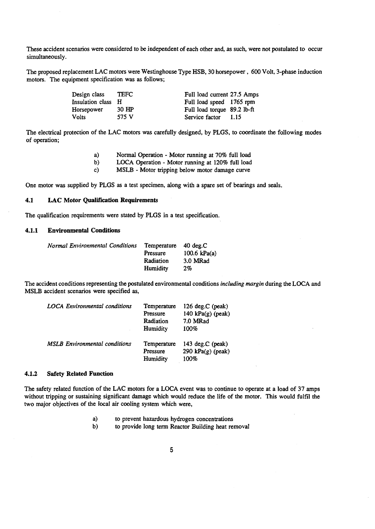These accident scenarios were considered to be independent of each other and, as such, were not postulated to occur simultaneously.

The proposed replacement LAC motors were Westinghouse Type HSB, 30 horsepower, 600 Volt, 3-phase induction motors. The equipment specification was as follows;

| Design class       | TEFC  | Full load current 27.5 Amps |      |
|--------------------|-------|-----------------------------|------|
| Insulation class H |       | Full load speed 1765 rpm    |      |
| Horsepower         | 30 HP | Full load torque 89.2 lb-ft |      |
| Volts              | 575 V | Service factor              | 1.15 |

The electrical protection of the LAC motors was carefully designed, by PLGS, to coordinate the following modes of operation;

- a) Normal Operation Motor running at 70% full load
- b) LOCA Operation Motor running at 120% full load
- c) MSLB Motor tripping below motor damage curve

One motor was supplied by PLGS as a test specimen, along with a spare set of bearings and seals.

# **4.1 LAC Motor Qualification Requirements**

The qualification requirements were stated by PLGS in a test specification.

# **4.1.1 Environmental Conditions**

| Normal Environmental Conditions | Temperature 40 deg.C |                |
|---------------------------------|----------------------|----------------|
|                                 | Pressure             | 100.6 $kPa(a)$ |
|                                 | Radiation            | 3.0 MRad       |
|                                 | Humidity             | 2%             |
|                                 |                      |                |

The accident conditions representing the postulated environmental conditions *including margin* during the LOCA and MSLB accident scenarios were specified as,

| <b>LOCA</b> Environmental conditions | Temperature<br>Pressure<br>Radiation<br><b>Humidity</b> | 126 deg.C (peak)<br>140 $kPa(g)$ (peak)<br>7.0 MRad<br>100% |
|--------------------------------------|---------------------------------------------------------|-------------------------------------------------------------|
| <b>MSLB</b> Environmental conditions | Temperature<br>Pressure<br>Humidity                     | 143 $deg.C$ (peak)<br>290 $kPa(g)$ (peak)<br>100%           |

#### **4.1.2 Safety Related Function**

The safety related function of the LAC motors for a LOCA event was to continue to operate at a load of 37 amps without tripping or sustaining significant damage which would reduce the life of the motor. This would fulfil the two major objectives of the local air cooling system which were,

- a) to prevent hazardous hydrogen concentrations<br>b) to provide long term Reactor Building heat rea
- to provide long term Reactor Building heat removal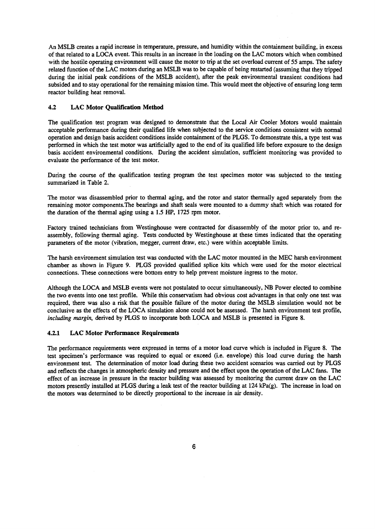An MSLB creates a rapid increase in temperature, pressure, and humidity within the containment building, in excess of that related to a LOCA event. This results in an increase in the loading on the LAC motors which when combined with the hostile operating environment will cause the motor to trip at the set overload current of 55 amps. The safety related function of the LAC motors during an MSLB was to be capable of being restarted (assuming that they tripped during the initial peak conditions of the MSLB accident), after the peak environmental transient conditions had subsided and to stay operational for the remaining mission time. This would meet the objective of ensuring long term reactor building heat removal.

# **4.2 LAC Motor Qualification Method**

The qualification test program was designed to demonstrate that the Local Air Cooler Motors would maintain acceptable performance during their qualified life when subjected to the service conditions consistent with normal operation and design basis accident conditions inside containment of the PLGS. To demonstrate this, a type test was performed in which the test motor was artificially aged to the end of its qualified life before exposure to the design basis accident environmental conditions. During the accident simulation, sufficient monitoring was provided to evaluate the performance of the test motor.

During the course of the qualification testing program the test specimen motor was subjected to the testing summarized in Table 2.

The motor was disassembled prior to thermal aging, and the rotor and stator thermally aged separately from the remaining motor components.The bearings and shaft seals were mounted to a dummy shaft which was rotated for the duration of the thermal aging using a 1.5 HP, 1725 rpm motor.

Factory trained technicians from Westinghouse were contracted for disassembly of the motor prior to, and reassembly, following thermal aging. Tests conducted by Westinghouse at these times indicated that the operating parameters of the motor (vibration, megger, current draw, etc.) were within acceptable limits.

The harsh environment simulation test was conducted with the LAC motor mounted in the MEC harsh environment chamber as shown in Figure 9. PLGS provided qualified splice kits which were used for the motor electrical connections. These connections were bottom entry to help prevent moisture ingress to the motor.

Although the LOCA and MSLB events were not postulated to occur simultaneously, NB Power elected to combine the two events into one test profile. While this conservatism had obvious cost advantages in that only one test was required, there was also a risk that the possible failure of the motor during the MSLB simulation would not be conclusive as the effects of the LOCA simulation alone could not be assessed. The harsh environment test profile, *including margin,* derived by PLGS to incorporate both LOCA and MSLB is presented in Figure 8.

#### **4.2.1 LAC Motor Performance Requirements**

The performance requirements were expressed in terms of a motor load curve which is included in Figure 8. The test specimen's performance was required to equal or exceed (i.e. envelope) this load curve during the harsh environment test. The determination of motor load during these two accident scenarios was carried out by PLGS and reflects the changes in atmospheric density and pressure and the effect upon the operation of the LAC fans. The effect of an increase in pressure in the reactor building was assessed by monitoring the current draw on the LAC motors presently installed at PLGS during a leak test of the reactor building at 124 kPa(g). The increase in load on the motors was determined to be directly proportional to the increase in air density.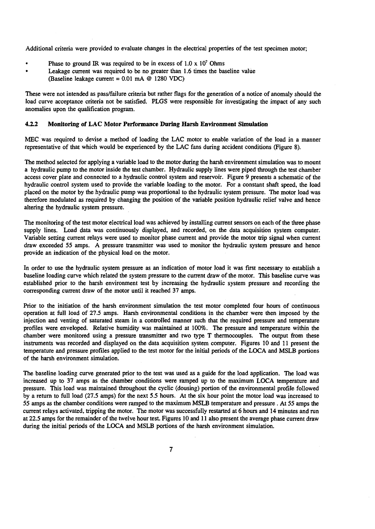Additional criteria were provided to evaluate changes in the electrical properties of the test specimen motor;

- Phase to ground IR was required to be in excess of  $1.0 \times 10^7$  Ohms
- Leakage current was required to be no greater than 1.6 times the baseline value (Baseline leakage current = 0.01 mA @ 1280 VDC)

These were not intended as pass/failure criteria but rather flags for the generation of a notice of anomaly should the load curve acceptance criteria not be satisfied. PLGS were responsible for investigating the impact of any such anomalies upon the qualification program.

#### **4.2.2 Monitoring of LAC Motor Performance Daring Harsh Environment Simulation**

MEC was required to devise a method of loading the LAC motor to enable variation of the load in a manner representative of that which would be experienced by the LAC fans during accident conditions (Figure 8).

The method selected for applying a variable load to the motor during the harsh environment simulation was to mount a hydraulic pump to the motor inside the test chamber. Hydraulic supply lines were piped through the test chamber access cover plate and connected to a hydraulic control system and reservoir. Figure 9 presents a schematic of the hydraulic control system used to provide the variable loading to the motor. For a constant shaft speed, the load placed on the motor by the hydraulic pump was proportional to the hydraulic system pressure. The motor load was therefore modulated as required by changing the position of the variable position hydraulic relief valve and hence altering the hydraulic system pressure.

The monitoring of the test motor electrical load was achieved by installing current sensors on each of the three phase supply lines. Load data was continuously displayed, and recorded, on the data acquisition system computer. Variable setting current relays were used to monitor phase current and provide the motor trip signal when current draw exceeded 55 amps. A pressure transmitter was used to monitor the hydraulic system pressure and hence provide an indication of the physical load on the motor.

In order to use the hydraulic system pressure as an indication of motor load it was first necessary to establish a baseline loading curve which related the system pressure to the current draw of the motor. This baseline curve was established prior to the harsh environment test by increasing the hydraulic system pressure and recording the corresponding current draw of the motor until it reached 37 amps.

Prior to the initiation of the harsh environment simulation the test motor completed four hours of continuous operation at full load of 27.5 amps. Harsh environmental conditions in the chamber were then imposed by the injection and venting of saturated steam in a controlled manner such that the required pressure and temperature profiles were enveloped. Relative humidity was maintained at 100%. The pressure and temperature within the chamber were monitored using a pressure transmitter and two type T thermocouples. The output from these instruments was recorded and displayed on the data acquisition system computer. Figures 10 and 11 present the temperature and pressure profiles applied to the test motor for the initial periods of the LOCA and MSLB portions of the harsh environment simulation.

The baseline loading curve generated prior to the test was used as a guide for the load application. The load was increased up to 37 amps as the chamber conditions were ramped up to the maximum LOCA temperature and pressure. This load was maintained throughout the cyclic (dousing) portion of the environmental profile followed by a return to full load (27.5 amps) for the next 5.5 hours. At the six hour point the motor load was increased to 55 amps as the chamber conditions were ramped to the maximum MSLB temperature and pressure. At 55 amps the current relays activated, tripping the motor. The motor was successfully restarted at 6 hours and 14 minutes and run at 22.5 amps for the remainder of the twelve hour test. Figures 10 and 11 also present the average phase current draw during the initial periods of the LOCA and MSLB portions of the harsh environment simulation.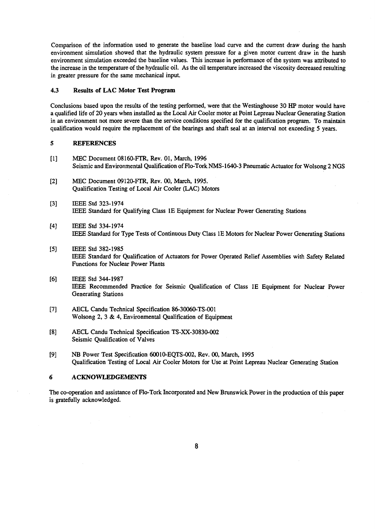Comparison of the information used to generate the baseline load curve and the current draw during the harsh environment simulation showed that the hydraulic system pressure for a given motor current draw in the harsh environment simulation exceeded the baseline values. This increase in performance of the system was attributed to the increase in the temperature of the hydraulic oil. As the oil temperature increased the viscosity decreased resulting in greater pressure for the same mechanical input.

#### **4.3 Results of LAC Motor Test Program**

Conclusions based upon the results of the testing performed, were that the Westinghouse 30 HP motor would have a qualified life of 20 years when installed as the Local Air Cooler motor at Point Lepreau Nuclear Generating Station in an environment not more severe than the service conditions specified for the qualification program. To maintain qualification would require the replacement of the bearings and shaft seal at an interval not exceeding 5 years.

#### 5 **REFERENCES**

- [1] MEC Document 08160-FTR, Rev. 01, March, 1996 Seismic and Environmental Qualification of Flo-Tork NMS-1640-3 Pneumatic Actuator for Wolsong 2 NGS
- [2] MEC Document 09120-FTR, Rev. 00, March, 1995. Qualification Testing of Local Air Cooler (LAC) Motors
- [3] IEEE Std 323-1974 IEEE Standard for Qualifying Class IE Equipment for Nuclear Power Generating Stations
- [4] IEEE Std 334-1974 IEEE Standard for Type Tests of Continuous Duty Class IE Motors for Nuclear Power Generating Stations
- [5] IEEE Std 382-1985 IEEE Standard for Qualification of Actuators for Power Operated Relief Assemblies with Safety Related Functions for Nuclear Power Plants
- [6] IEEE Std 344-1987 IEEE Recommended Practice for Seismic Qualification of Class IE Equipment for Nuclear Power Generating Stations
- [7] AECL Candu Technical Specification 86-30060-TS-001 Wolsong 2, 3 & 4, Environmental Qualification of Equipment
- [8] AECL Candu Technical Specification TS-XX-30830-002 Seismic Qualification of Valves
- [9] NB Power Test Specification 60010-EQTS-002, Rev. 00, March, 1995 Qualification Testing of Local Air Cooler Motors for Use at Point Lepreau Nuclear Generating Station

# **6 ACKNOWLEDGEMENTS**

The co-operation and assistance of Flo-Tork Incorporated and New Brunswick Power in the production of this paper is gratefully acknowledged.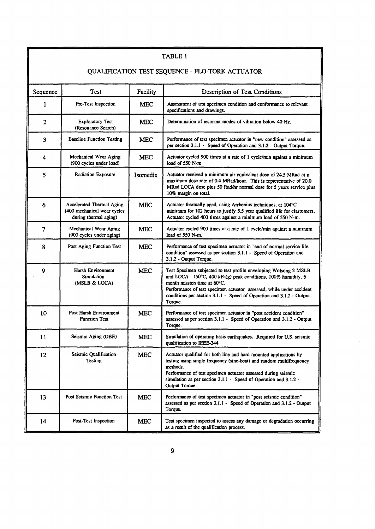| TABLE 1                                         |                                                                                   |            |                                                                                                                                                                                                                                                                                                                              |  |
|-------------------------------------------------|-----------------------------------------------------------------------------------|------------|------------------------------------------------------------------------------------------------------------------------------------------------------------------------------------------------------------------------------------------------------------------------------------------------------------------------------|--|
|                                                 |                                                                                   |            |                                                                                                                                                                                                                                                                                                                              |  |
| QUALIFICATION TEST SEQUENCE - FLO-TORK ACTUATOR |                                                                                   |            |                                                                                                                                                                                                                                                                                                                              |  |
| Sequence                                        | Test                                                                              | Facility   | Description of Test Conditions                                                                                                                                                                                                                                                                                               |  |
| $\mathbf{1}$                                    | Pre-Test Inspection                                                               | <b>MEC</b> | Assessment of test specimen condition and conformance to relevant<br>specifications and drawings.                                                                                                                                                                                                                            |  |
| $\overline{2}$                                  | <b>Exploratory Test</b><br>(Resonance Search)                                     | <b>MEC</b> | Determination of resonant modes of vibration below 40 Hz.                                                                                                                                                                                                                                                                    |  |
| 3                                               | <b>Baseline Function Testing</b>                                                  | <b>MEC</b> | Performance of test specimen actuator in "new condition" assessed as<br>per section 3.1.1 - Speed of Operation and 3.1.2 - Output Torque.                                                                                                                                                                                    |  |
| 4                                               | Mechanical Wear Aging<br>(900 cycles under load)                                  | <b>MEC</b> | Actuator cycled 900 times at a rate of 1 cycle/min against a minimum<br>load of 550 N-m.                                                                                                                                                                                                                                     |  |
| 5                                               | Radiation Exposure                                                                | Isomedix   | Actuator received a minimum air equivalent dose of 24.5 MRad at a<br>maximum dose rate of 0.4 MRad/hour. This is representative of 20.0<br>MRad LOCA dose plus 50 Rad/hr normal dose for 5 years service plus<br>10% margin on total.                                                                                        |  |
| 6                                               | Accelerated Thermal Aging<br>(400 mechanical wear cycles<br>during thermal aging) | <b>MEC</b> | Actuator thermally aged, using Arrhenius techniques, at 104°C<br>minimum for 102 hours to justify 5.5 year qualified life for elastomers.<br>Actuator cycled 400 times against a minimum load of 550 N-m.                                                                                                                    |  |
| 7                                               | Mechanical Wear Aging<br>(900 cycles under aging)                                 | <b>MEC</b> | Actuator cycled 900 times at a rate of 1 cycle/min against a minimum<br>load of 550 N-m.                                                                                                                                                                                                                                     |  |
| 8                                               | Post Aging Function Test                                                          | <b>MEC</b> | Performance of test specimen actuator in "end of normal service life<br>condition" assessed as per section 3.1.1 - Speed of Operation and<br>3.1.2 - Output Torque.                                                                                                                                                          |  |
| 9                                               | Harsh Environment<br>Simulation<br>(MSLB & LOCA)                                  | <b>MEC</b> | Test Specimen subjected to test profile enveloping Wolsong 2 MSLB<br>and LOCA. 150°C, 400 kPa(g) peak conditions, 100% humidity, 6<br>month mission time at 60°C.<br>Performance of test specimen actuator assessed, while under accident<br>conditions per section 3.1.1 - Speed of Operation and 3.1.2 - Output<br>Torque. |  |
| 10                                              | Post Harsh Environment<br><b>Function Test</b>                                    | <b>MEC</b> | Performance of test specimen actuator in "post accident condition"<br>assessed as per section 3.1.1 - Speed of Operation and 3.1.2 - Output<br>Torque.                                                                                                                                                                       |  |
| 11                                              | Seismic Aging (OBE)                                                               | <b>MEC</b> | Simulation of operating basis earthquakes. Required for U.S. seismic<br>qualification to IEEE-344                                                                                                                                                                                                                            |  |
| 12                                              | Seismic Qualification<br>Testing                                                  | <b>MEC</b> | Actuator qualified for both line and hard mounted applications by<br>testing using single frequency (sine-beat) and random multifrequency<br>methods.<br>Performance of test specimen actuator assessed during seismic<br>simulation as per section 3.1.1 - Speed of Operation and 3.1.2 -<br>Output Torque.                 |  |
| 13                                              | <b>Post Seismic Function Test</b>                                                 | <b>MEC</b> | Performance of test specimen actuator in "post seismic condition"<br>assessed as per section 3.1.1 - Speed of Operation and 3.1.2 - Output<br>Torque.                                                                                                                                                                        |  |
| 14                                              | Post-Test Inspection                                                              | <b>MEC</b> | Test specimen inspected to assess any damage or degradation occurring<br>as a result of the qualification process.                                                                                                                                                                                                           |  |

 $\frac{1}{2} \frac{1}{2} \frac{1}{2} \frac{1}{2} \frac{1}{2} \frac{1}{2}$ 

 $\hat{\mathcal{A}}$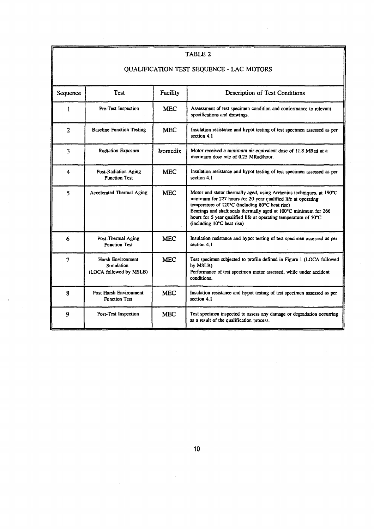| TABLE 2                                  |                                                            |            |                                                                                                                                                                                                                                                                                                                                                                 |  |
|------------------------------------------|------------------------------------------------------------|------------|-----------------------------------------------------------------------------------------------------------------------------------------------------------------------------------------------------------------------------------------------------------------------------------------------------------------------------------------------------------------|--|
| QUALIFICATION TEST SEQUENCE - LAC MOTORS |                                                            |            |                                                                                                                                                                                                                                                                                                                                                                 |  |
| Sequence                                 | <b>Test</b>                                                | Facility   | Description of Test Conditions                                                                                                                                                                                                                                                                                                                                  |  |
| 1                                        | Pre-Test Inspection                                        | <b>MEC</b> | Assessment of test specimen condition and conformance to relevant<br>specifications and drawings.                                                                                                                                                                                                                                                               |  |
| $\overline{2}$                           | <b>Baseline Function Testing</b>                           | <b>MEC</b> | Insulation resistance and hypot testing of test specimen assessed as per<br>section 4.1                                                                                                                                                                                                                                                                         |  |
| 3                                        | <b>Radiation Exposure</b>                                  | Isomedix   | Motor received a minimum air equivalent dose of 11.8 MRad at a<br>maximum dose rate of 0.25 MRad/hour.                                                                                                                                                                                                                                                          |  |
| 4                                        | Post-Radiation Aging<br><b>Function Test</b>               | <b>MEC</b> | Insulation resistance and hypot testing of test specimen assessed as per<br>section 4.1                                                                                                                                                                                                                                                                         |  |
| 5                                        | Accelerated Thermal Aging                                  | <b>MEC</b> | Motor and stator thermally aged, using Arthenius techniques, at 190°C<br>minimum for 227 hours for 20 year qualified life at operating<br>temperature of 120°C (including 80°C heat rise)<br>Bearings and shaft seals thermally aged at 100°C minimum for 266<br>hours for 5 year qualified life at operating temperature of 50°C<br>(including 10°C heat rise) |  |
| 6                                        | Post-Thermal Aging<br><b>Function Test</b>                 | <b>MEC</b> | Insulation resistance and hypot testing of test specimen assessed as per<br>section 4.1                                                                                                                                                                                                                                                                         |  |
| $\overline{7}$                           | Harsh Environment<br>Simulation<br>(LOCA followed by MSLB) | <b>MEC</b> | Test specimen subjected to profile defined in Figure 1 (LOCA followed<br>by MSLB)<br>Performance of test specimen motor assessed, while under accident<br>conditions.                                                                                                                                                                                           |  |
| 8                                        | Post Harsh Environment<br><b>Function Test</b>             | <b>MEC</b> | Insulation resistance and hypot testing of test specimen assessed as per<br>section 4.1                                                                                                                                                                                                                                                                         |  |
| 9                                        | Post-Test Inspection                                       | <b>MEC</b> | Test specimen inspected to assess any damage or degradation occurring<br>as a result of the qualification process.                                                                                                                                                                                                                                              |  |

a

# **10**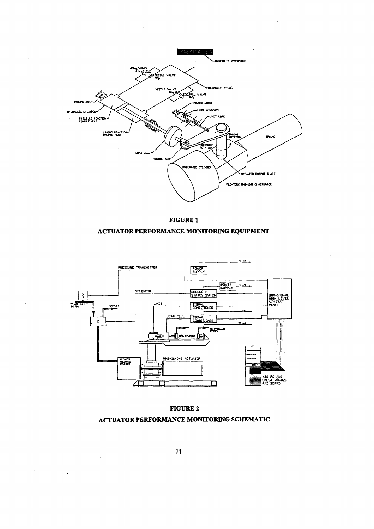





**FIGURE 2 ACTUATOR PERFORMANCE MONITORING SCHEMATIC**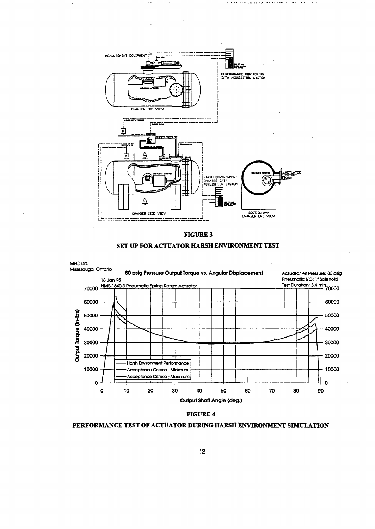







# **FIGURE 4**

**PERFORMANCE TEST OF ACTUATOR DURING HARSH ENVIRONMENT SIMULATION**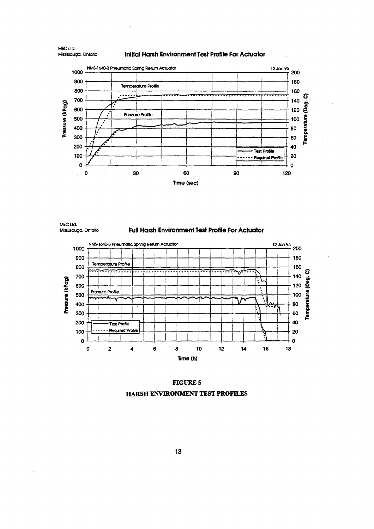Initial Harsh Environment Test Profile For Actuator



MEC Ltd. Mississauga, Ontario

**Full Harsh Environment Test Profile For Actuator** 



# **FIGURE 5**

HARSH ENVIRONMENT TEST PROFILES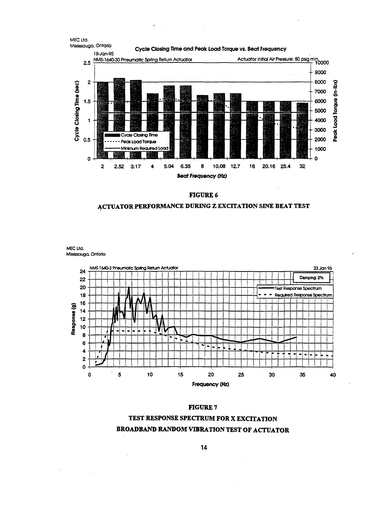

 $\bar{\mathbf{v}}$ 

FIGURE 6

# ACTUATOR PERFORMANCE DURING Z EXCITATION SINE BEAT TEST

MEC Ltd. Mississauga, Ontario



#### **FIGURE 7**

# TEST RESPONSE SPECTRUM FOR X EXCITATION **BROADBAND RANDOM VIBRATION TEST OF ACTUATOR**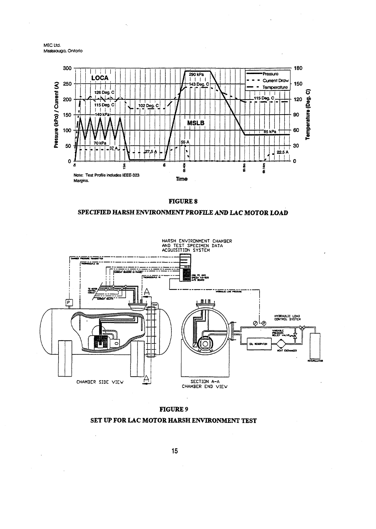



**FIGURE 8**





**SET UP FOR LAC MOTOR HARSH ENVIRONMENT TEST**

### **FIGURE 9**